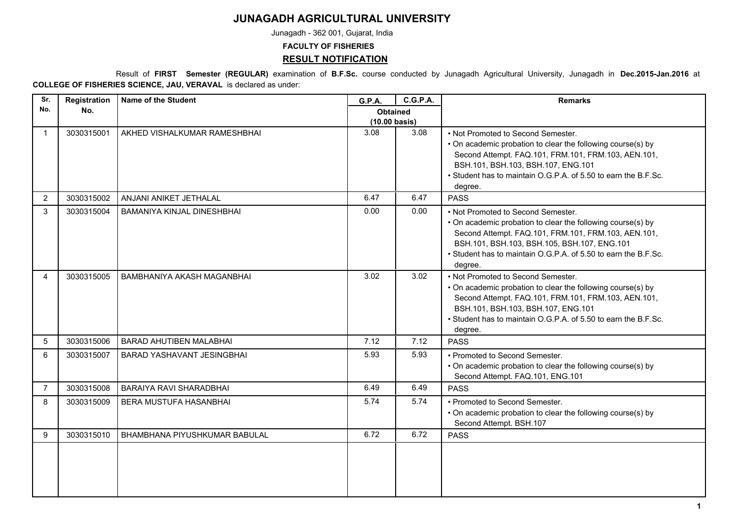## **JUNAGADH AGRICULTURAL UNIVERSITY**

Junagadh - 362 001, Gujarat, India

**FACULTY OF FISHERIES**

## **RESULT NOTIFICATION**

 Result of **FIRST Semester (REGULAR)** examination of **B.F.Sc.** course conducted by Junagadh Agricultural University, Junagadh in **Dec.2015-Jan.2016** at **COLLEGE OF FISHERIES SCIENCE, JAU, VERAVAL** is declared as under:

| Sr.            | Registration | <b>Name of the Student</b>     | <b>G.P.A.</b>                              | <b>C.G.P.A.</b> | <b>Remarks</b>                                                                                                                                                                                                                                                                       |
|----------------|--------------|--------------------------------|--------------------------------------------|-----------------|--------------------------------------------------------------------------------------------------------------------------------------------------------------------------------------------------------------------------------------------------------------------------------------|
| No.            | No.          |                                | <b>Obtained</b><br>$(10.00 \text{ basis})$ |                 |                                                                                                                                                                                                                                                                                      |
|                | 3030315001   | AKHED VISHALKUMAR RAMESHBHAI   | 3.08                                       | 3.08            | • Not Promoted to Second Semester.<br>• On academic probation to clear the following course(s) by<br>Second Attempt. FAQ.101, FRM.101, FRM.103, AEN.101,<br>BSH.101, BSH.103, BSH.107, ENG.101<br>• Student has to maintain O.G.P.A. of 5.50 to earn the B.F.Sc.<br>degree.          |
| 2              | 3030315002   | ANJANI ANIKET JETHALAL         | 6.47                                       | 6.47            | <b>PASS</b>                                                                                                                                                                                                                                                                          |
| 3              | 3030315004   | BAMANIYA KINJAL DINESHBHAI     | 0.00                                       | 0.00            | • Not Promoted to Second Semester.<br>• On academic probation to clear the following course(s) by<br>Second Attempt. FAQ.101, FRM.101, FRM.103, AEN.101,<br>BSH.101, BSH.103, BSH.105, BSH.107, ENG.101<br>• Student has to maintain O.G.P.A. of 5.50 to earn the B.F.Sc.<br>degree. |
| 4              | 3030315005   | BAMBHANIYA AKASH MAGANBHAI     | 3.02                                       | 3.02            | • Not Promoted to Second Semester.<br>• On academic probation to clear the following course(s) by<br>Second Attempt. FAQ.101, FRM.101, FRM.103, AEN.101,<br>BSH.101, BSH.103, BSH.107, ENG.101<br>• Student has to maintain O.G.P.A. of 5.50 to earn the B.F.Sc.<br>degree.          |
| 5              | 3030315006   | <b>BARAD AHUTIBEN MALABHAI</b> | 7.12                                       | 7.12            | <b>PASS</b>                                                                                                                                                                                                                                                                          |
| 6              | 3030315007   | BARAD YASHAVANT JESINGBHAI     | 5.93                                       | 5.93            | • Promoted to Second Semester.<br>• On academic probation to clear the following course(s) by<br>Second Attempt. FAQ.101, ENG.101                                                                                                                                                    |
| $\overline{7}$ | 3030315008   | <b>BARAIYA RAVI SHARADBHAI</b> | 6.49                                       | 6.49            | <b>PASS</b>                                                                                                                                                                                                                                                                          |
| 8              | 3030315009   | BERA MUSTUFA HASANBHAI         | 5.74                                       | 5.74            | • Promoted to Second Semester.<br>• On academic probation to clear the following course(s) by<br>Second Attempt. BSH.107                                                                                                                                                             |
| 9              | 3030315010   | BHAMBHANA PIYUSHKUMAR BABULAL  | 6.72                                       | 6.72            | <b>PASS</b>                                                                                                                                                                                                                                                                          |
|                |              |                                |                                            |                 |                                                                                                                                                                                                                                                                                      |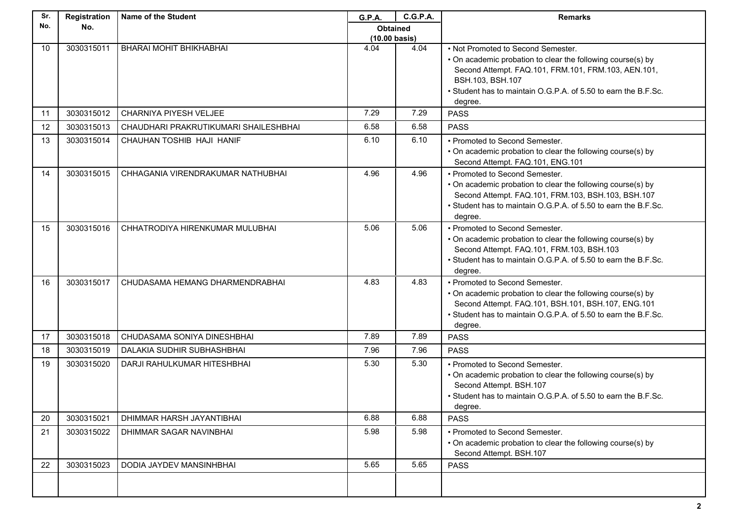| Sr. | Registration | <b>Name of the Student</b>            | G.P.A.                  | <b>C.G.P.A.</b> | <b>Remarks</b>                                                                                                                                                                                                                                 |
|-----|--------------|---------------------------------------|-------------------------|-----------------|------------------------------------------------------------------------------------------------------------------------------------------------------------------------------------------------------------------------------------------------|
| No. | No.          |                                       | <b>Obtained</b>         |                 |                                                                                                                                                                                                                                                |
|     |              |                                       | $(10.00 \text{ basis})$ |                 |                                                                                                                                                                                                                                                |
| 10  | 3030315011   | BHARAI MOHIT BHIKHABHAI               | 4.04                    | 4.04            | • Not Promoted to Second Semester.<br>• On academic probation to clear the following course(s) by<br>Second Attempt. FAQ.101, FRM.101, FRM.103, AEN.101,<br>BSH.103, BSH.107<br>• Student has to maintain O.G.P.A. of 5.50 to earn the B.F.Sc. |
|     |              |                                       |                         |                 | degree.                                                                                                                                                                                                                                        |
| 11  | 3030315012   | CHARNIYA PIYESH VELJEE                | 7.29                    | 7.29            | <b>PASS</b>                                                                                                                                                                                                                                    |
| 12  | 3030315013   | CHAUDHARI PRAKRUTIKUMARI SHAILESHBHAI | 6.58                    | 6.58            | <b>PASS</b>                                                                                                                                                                                                                                    |
| 13  | 3030315014   | CHAUHAN TOSHIB HAJI HANIF             | 6.10                    | 6.10            | • Promoted to Second Semester.<br>• On academic probation to clear the following course(s) by<br>Second Attempt. FAQ.101, ENG.101                                                                                                              |
| 14  | 3030315015   | CHHAGANIA VIRENDRAKUMAR NATHUBHAI     | 4.96                    | 4.96            | • Promoted to Second Semester.<br>• On academic probation to clear the following course(s) by<br>Second Attempt. FAQ.101, FRM.103, BSH.103, BSH.107<br>• Student has to maintain O.G.P.A. of 5.50 to earn the B.F.Sc.<br>degree.               |
| 15  | 3030315016   | CHHATRODIYA HIRENKUMAR MULUBHAI       | 5.06                    | 5.06            | • Promoted to Second Semester.<br>• On academic probation to clear the following course(s) by<br>Second Attempt. FAQ.101, FRM.103, BSH.103<br>• Student has to maintain O.G.P.A. of 5.50 to earn the B.F.Sc.<br>degree.                        |
| 16  | 3030315017   | CHUDASAMA HEMANG DHARMENDRABHAI       | 4.83                    | 4.83            | • Promoted to Second Semester.<br>• On academic probation to clear the following course(s) by<br>Second Attempt. FAQ.101, BSH.101, BSH.107, ENG.101<br>• Student has to maintain O.G.P.A. of 5.50 to earn the B.F.Sc.<br>degree.               |
| 17  | 3030315018   | CHUDASAMA SONIYA DINESHBHAI           | 7.89                    | 7.89            | <b>PASS</b>                                                                                                                                                                                                                                    |
| 18  | 3030315019   | DALAKIA SUDHIR SUBHASHBHAI            | 7.96                    | 7.96            | <b>PASS</b>                                                                                                                                                                                                                                    |
| 19  | 3030315020   | DARJI RAHULKUMAR HITESHBHAI           | 5.30                    | 5.30            | • Promoted to Second Semester.<br>• On academic probation to clear the following course(s) by<br>Second Attempt. BSH.107<br>• Student has to maintain O.G.P.A. of 5.50 to earn the B.F.Sc.<br>degree.                                          |
| 20  | 3030315021   | DHIMMAR HARSH JAYANTIBHAI             | 6.88                    | 6.88            | <b>PASS</b>                                                                                                                                                                                                                                    |
| 21  | 3030315022   | DHIMMAR SAGAR NAVINBHAI               | 5.98                    | 5.98            | • Promoted to Second Semester.<br>• On academic probation to clear the following course(s) by<br>Second Attempt. BSH.107                                                                                                                       |
| 22  | 3030315023   | DODIA JAYDEV MANSINHBHAI              | 5.65                    | 5.65            | <b>PASS</b>                                                                                                                                                                                                                                    |
|     |              |                                       |                         |                 |                                                                                                                                                                                                                                                |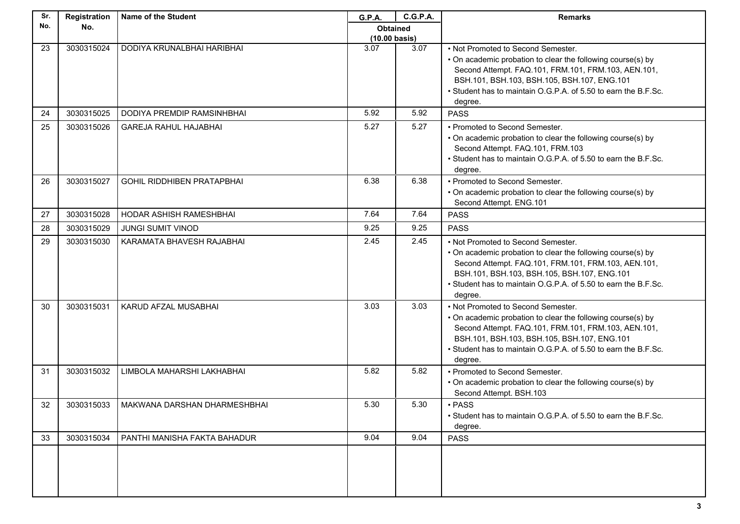| Sr. | Registration | <b>Name of the Student</b>        | G.P.A.                  | <b>C.G.P.A.</b> | <b>Remarks</b>                                                                                                                                                                                                                                                                       |
|-----|--------------|-----------------------------------|-------------------------|-----------------|--------------------------------------------------------------------------------------------------------------------------------------------------------------------------------------------------------------------------------------------------------------------------------------|
| No. | No.          |                                   | <b>Obtained</b>         |                 |                                                                                                                                                                                                                                                                                      |
|     |              |                                   | $(10.00 \text{ basis})$ |                 |                                                                                                                                                                                                                                                                                      |
| 23  | 3030315024   | DODIYA KRUNALBHAI HARIBHAI        | 3.07                    | 3.07            | • Not Promoted to Second Semester.<br>• On academic probation to clear the following course(s) by<br>Second Attempt. FAQ.101, FRM.101, FRM.103, AEN.101,<br>BSH.101, BSH.103, BSH.105, BSH.107, ENG.101<br>• Student has to maintain O.G.P.A. of 5.50 to earn the B.F.Sc.<br>degree. |
| 24  | 3030315025   | DODIYA PREMDIP RAMSINHBHAI        | 5.92                    | 5.92            | <b>PASS</b>                                                                                                                                                                                                                                                                          |
| 25  | 3030315026   | <b>GAREJA RAHUL HAJABHAI</b>      | 5.27                    | 5.27            | • Promoted to Second Semester.<br>• On academic probation to clear the following course(s) by<br>Second Attempt. FAQ.101, FRM.103<br>• Student has to maintain O.G.P.A. of 5.50 to earn the B.F.Sc.<br>degree.                                                                       |
| 26  | 3030315027   | <b>GOHIL RIDDHIBEN PRATAPBHAI</b> | 6.38                    | 6.38            | • Promoted to Second Semester.<br>• On academic probation to clear the following course(s) by<br>Second Attempt. ENG.101                                                                                                                                                             |
| 27  | 3030315028   | HODAR ASHISH RAMESHBHAI           | 7.64                    | 7.64            | <b>PASS</b>                                                                                                                                                                                                                                                                          |
| 28  | 3030315029   | <b>JUNGI SUMIT VINOD</b>          | 9.25                    | 9.25            | <b>PASS</b>                                                                                                                                                                                                                                                                          |
| 29  | 3030315030   | KARAMATA BHAVESH RAJABHAI         | 2.45                    | 2.45            | • Not Promoted to Second Semester.<br>• On academic probation to clear the following course(s) by<br>Second Attempt. FAQ.101, FRM.101, FRM.103, AEN.101,<br>BSH.101, BSH.103, BSH.105, BSH.107, ENG.101<br>• Student has to maintain O.G.P.A. of 5.50 to earn the B.F.Sc.<br>degree. |
| 30  | 3030315031   | KARUD AFZAL MUSABHAI              | 3.03                    | 3.03            | • Not Promoted to Second Semester.<br>• On academic probation to clear the following course(s) by<br>Second Attempt. FAQ.101, FRM.101, FRM.103, AEN.101,<br>BSH.101, BSH.103, BSH.105, BSH.107, ENG.101<br>• Student has to maintain O.G.P.A. of 5.50 to earn the B.F.Sc.<br>degree. |
| 31  | 3030315032   | LIMBOLA MAHARSHI LAKHABHAI        | 5.82                    | 5.82            | • Promoted to Second Semester.<br>• On academic probation to clear the following course(s) by<br>Second Attempt. BSH.103                                                                                                                                                             |
| 32  | 3030315033   | MAKWANA DARSHAN DHARMESHBHAI      | 5.30                    | 5.30            | • PASS<br>• Student has to maintain O.G.P.A. of 5.50 to earn the B.F.Sc.<br>degree.                                                                                                                                                                                                  |
| 33  | 3030315034   | PANTHI MANISHA FAKTA BAHADUR      | 9.04                    | 9.04            | <b>PASS</b>                                                                                                                                                                                                                                                                          |
|     |              |                                   |                         |                 |                                                                                                                                                                                                                                                                                      |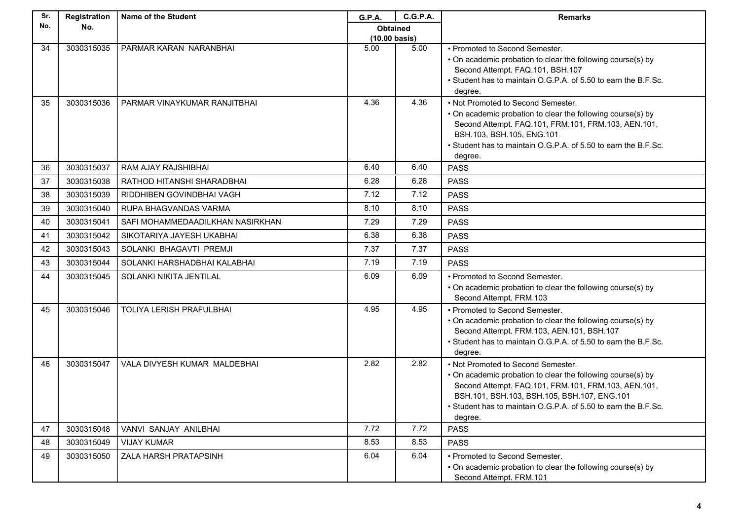| Sr. | Registration | <b>Name of the Student</b>       | <b>G.P.A.</b>           | <b>C.G.P.A.</b> | <b>Remarks</b>                                                                                     |
|-----|--------------|----------------------------------|-------------------------|-----------------|----------------------------------------------------------------------------------------------------|
| No. | No.          |                                  | <b>Obtained</b>         |                 |                                                                                                    |
|     |              |                                  | $(10.00 \text{ basis})$ |                 |                                                                                                    |
| 34  | 3030315035   | PARMAR KARAN NARANBHAI           | 5.00                    | 5.00            | • Promoted to Second Semester.<br>• On academic probation to clear the following course(s) by      |
|     |              |                                  |                         |                 | Second Attempt. FAQ.101, BSH.107                                                                   |
|     |              |                                  |                         |                 | • Student has to maintain O.G.P.A. of 5.50 to earn the B.F.Sc.                                     |
|     |              |                                  |                         |                 | degree.                                                                                            |
| 35  | 3030315036   | PARMAR VINAYKUMAR RANJITBHAI     | 4.36                    | 4.36            | • Not Promoted to Second Semester.                                                                 |
|     |              |                                  |                         |                 | • On academic probation to clear the following course(s) by                                        |
|     |              |                                  |                         |                 | Second Attempt. FAQ.101, FRM.101, FRM.103, AEN.101,                                                |
|     |              |                                  |                         |                 | BSH.103, BSH.105, ENG.101<br>• Student has to maintain O.G.P.A. of 5.50 to earn the B.F.Sc.        |
|     |              |                                  |                         |                 | degree.                                                                                            |
| 36  | 3030315037   | RAM AJAY RAJSHIBHAI              | 6.40                    | 6.40            | <b>PASS</b>                                                                                        |
| 37  | 3030315038   | RATHOD HITANSHI SHARADBHAI       | 6.28                    | 6.28            | <b>PASS</b>                                                                                        |
| 38  | 3030315039   | RIDDHIBEN GOVINDBHAI VAGH        | 7.12                    | 7.12            | <b>PASS</b>                                                                                        |
| 39  | 3030315040   | RUPA BHAGVANDAS VARMA            | 8.10                    | 8.10            | <b>PASS</b>                                                                                        |
| 40  | 3030315041   | SAFI MOHAMMEDAADILKHAN NASIRKHAN | 7.29                    | 7.29            | <b>PASS</b>                                                                                        |
| 41  | 3030315042   | SIKOTARIYA JAYESH UKABHAI        | 6.38                    | 6.38            | <b>PASS</b>                                                                                        |
| 42  | 3030315043   | SOLANKI BHAGAVTI PREMJI          | 7.37                    | 7.37            | <b>PASS</b>                                                                                        |
| 43  | 3030315044   | SOLANKI HARSHADBHAI KALABHAI     | 7.19                    | 7.19            | <b>PASS</b>                                                                                        |
| 44  | 3030315045   | SOLANKI NIKITA JENTILAL          | 6.09                    | 6.09            | • Promoted to Second Semester.                                                                     |
|     |              |                                  |                         |                 | • On academic probation to clear the following course(s) by                                        |
|     |              | TOLIYA LERISH PRAFULBHAI         | 4.95                    |                 | Second Attempt. FRM.103                                                                            |
| 45  | 3030315046   |                                  |                         | 4.95            | • Promoted to Second Semester.<br>• On academic probation to clear the following course(s) by      |
|     |              |                                  |                         |                 | Second Attempt. FRM.103, AEN.101, BSH.107                                                          |
|     |              |                                  |                         |                 | • Student has to maintain O.G.P.A. of 5.50 to earn the B.F.Sc.                                     |
|     |              |                                  |                         |                 | degree.                                                                                            |
| 46  | 3030315047   | VALA DIVYESH KUMAR MALDEBHAI     | 2.82                    | 2.82            | • Not Promoted to Second Semester.                                                                 |
|     |              |                                  |                         |                 | • On academic probation to clear the following course(s) by                                        |
|     |              |                                  |                         |                 | Second Attempt. FAQ.101, FRM.101, FRM.103, AEN.101,<br>BSH.101, BSH.103, BSH.105, BSH.107, ENG.101 |
|     |              |                                  |                         |                 | • Student has to maintain O.G.P.A. of 5.50 to earn the B.F.Sc.                                     |
|     |              |                                  |                         |                 | degree.                                                                                            |
| 47  | 3030315048   | VANVI SANJAY ANILBHAI            | 7.72                    | 7.72            | <b>PASS</b>                                                                                        |
| 48  | 3030315049   | <b>VIJAY KUMAR</b>               | 8.53                    | 8.53            | <b>PASS</b>                                                                                        |
| 49  | 3030315050   | ZALA HARSH PRATAPSINH            | 6.04                    | 6.04            | • Promoted to Second Semester.                                                                     |
|     |              |                                  |                         |                 | • On academic probation to clear the following course(s) by                                        |
|     |              |                                  |                         |                 | Second Attempt. FRM.101                                                                            |